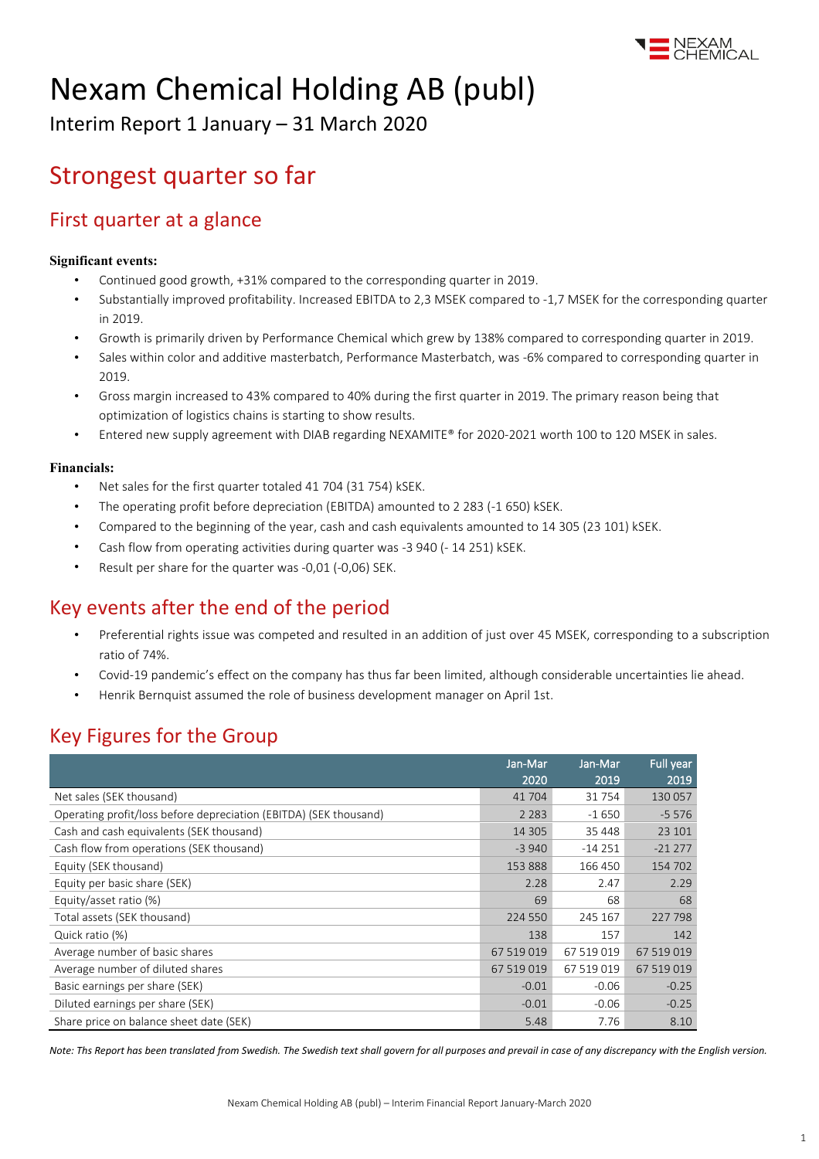

# Nexam Chemical Holding AB (publ)

Interim Report 1 January – 31 March 2020

# Strongest quarter so far

### First quarter at a glance

### **Significant events:**

- Continued good growth, +31% compared to the corresponding quarter in 2019.
- Substantially improved profitability. Increased EBITDA to 2,3 MSEK compared to -1,7 MSEK for the corresponding quarter in 2019.
- Growth is primarily driven by Performance Chemical which grew by 138% compared to corresponding quarter in 2019.
- Sales within color and additive masterbatch, Performance Masterbatch, was -6% compared to corresponding quarter in 2019.
- Gross margin increased to 43% compared to 40% during the first quarter in 2019. The primary reason being that optimization of logistics chains is starting to show results.
- Entered new supply agreement with DIAB regarding NEXAMITE® for 2020-2021 worth 100 to 120 MSEK in sales.

### **Financials:**

- Net sales for the first quarter totaled 41 704 (31 754) kSEK.
- The operating profit before depreciation (EBITDA) amounted to 2 283 (-1 650) kSEK.
- Compared to the beginning of the year, cash and cash equivalents amounted to 14 305 (23 101) kSEK.
- Cash flow from operating activities during quarter was -3 940 (- 14 251) kSEK.
- Result per share for the quarter was -0,01 (-0,06) SEK.

### Key events after the end of the period

- Preferential rights issue was competed and resulted in an addition of just over 45 MSEK, corresponding to a subscription ratio of 74%.
- Covid-19 pandemic's effect on the company has thus far been limited, although considerable uncertainties lie ahead.
- Henrik Bernquist assumed the role of business development manager on April 1st.

### Key Figures for the Group

|                                                                   | Jan-Mar    | Jan-Mar    | <b>Full year</b> |
|-------------------------------------------------------------------|------------|------------|------------------|
|                                                                   | 2020       | 2019       | 2019             |
| Net sales (SEK thousand)                                          | 41704      | 31 754     | 130 057          |
| Operating profit/loss before depreciation (EBITDA) (SEK thousand) | 2 2 8 3    | $-1650$    | $-5576$          |
| Cash and cash equivalents (SEK thousand)                          | 14 3 0 5   | 35 448     | 23 101           |
| Cash flow from operations (SEK thousand)                          | $-3940$    | $-14251$   | $-21277$         |
| Equity (SEK thousand)                                             | 153888     | 166 450    | 154 702          |
| Equity per basic share (SEK)                                      | 2.28       | 2.47       | 2.29             |
| Equity/asset ratio (%)                                            | 69         | 68         | 68               |
| Total assets (SEK thousand)                                       | 224 550    | 245 167    | 227 798          |
| Quick ratio (%)                                                   | 138        | 157        | 142              |
| Average number of basic shares                                    | 67 519 019 | 67 519 019 | 67 519 019       |
| Average number of diluted shares                                  | 67 519 019 | 67 519 019 | 67 519 019       |
| Basic earnings per share (SEK)                                    | $-0.01$    | $-0.06$    | $-0.25$          |
| Diluted earnings per share (SEK)                                  | $-0.01$    | $-0.06$    | $-0.25$          |
| Share price on balance sheet date (SEK)                           | 5.48       | 7.76       | 8.10             |

*Note: Ths Report has been translated from Swedish. The Swedish text shall govern for all purposes and prevail in case of any discrepancy with the English version.*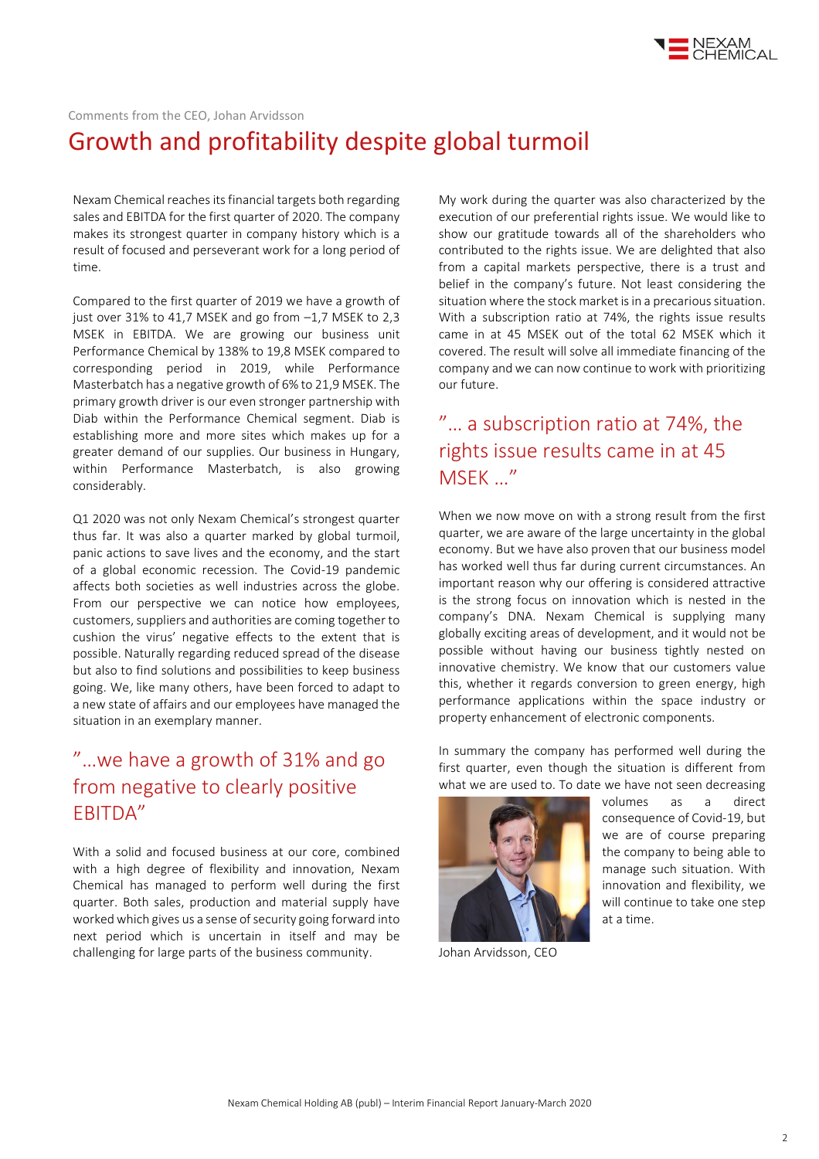

### Comments from the CEO, Johan Arvidsson Growth and profitability despite global turmoil

Nexam Chemical reaches itsfinancial targets both regarding sales and EBITDA for the first quarter of 2020. The company makes its strongest quarter in company history which is a result of focused and perseverant work for a long period of time.

Compared to the first quarter of 2019 we have a growth of just over 31% to 41,7 MSEK and go from –1,7 MSEK to 2,3 MSEK in EBITDA. We are growing our business unit Performance Chemical by 138% to 19,8 MSEK compared to corresponding period in 2019, while Performance Masterbatch has a negative growth of 6% to 21,9 MSEK. The primary growth driver is our even stronger partnership with Diab within the Performance Chemical segment. Diab is establishing more and more sites which makes up for a greater demand of our supplies. Our business in Hungary, within Performance Masterbatch, is also growing considerably.

Q1 2020 was not only Nexam Chemical's strongest quarter thus far. It was also a quarter marked by global turmoil, panic actions to save lives and the economy, and the start of a global economic recession. The Covid-19 pandemic affects both societies as well industries across the globe. From our perspective we can notice how employees, customers, suppliers and authorities are coming together to cushion the virus' negative effects to the extent that is possible. Naturally regarding reduced spread of the disease but also to find solutions and possibilities to keep business going. We, like many others, have been forced to adapt to a new state of affairs and our employees have managed the situation in an exemplary manner.

### "…we have a growth of 31% and go from negative to clearly positive EBITDA"

With a solid and focused business at our core, combined with a high degree of flexibility and innovation, Nexam Chemical has managed to perform well during the first quarter. Both sales, production and material supply have worked which gives us a sense of security going forward into next period which is uncertain in itself and may be challenging for large parts of the business community.

My work during the quarter was also characterized by the execution of our preferential rights issue. We would like to show our gratitude towards all of the shareholders who contributed to the rights issue. We are delighted that also from a capital markets perspective, there is a trust and belief in the company's future. Not least considering the situation where the stock market is in a precarious situation. With a subscription ratio at 74%, the rights issue results came in at 45 MSEK out of the total 62 MSEK which it covered. The result will solve all immediate financing of the company and we can now continue to work with prioritizing our future.

### "… a subscription ratio at 74%, the rights issue results came in at 45 MSEK …"

When we now move on with a strong result from the first quarter, we are aware of the large uncertainty in the global economy. But we have also proven that our business model has worked well thus far during current circumstances. An important reason why our offering is considered attractive is the strong focus on innovation which is nested in the company's DNA. Nexam Chemical is supplying many globally exciting areas of development, and it would not be possible without having our business tightly nested on innovative chemistry. We know that our customers value this, whether it regards conversion to green energy, high performance applications within the space industry or property enhancement of electronic components.

In summary the company has performed well during the first quarter, even though the situation is different from what we are used to. To date we have not seen decreasing



Johan Arvidsson, CEO

volumes as a direct consequence of Covid-19, but we are of course preparing the company to being able to manage such situation. With innovation and flexibility, we will continue to take one step at a time.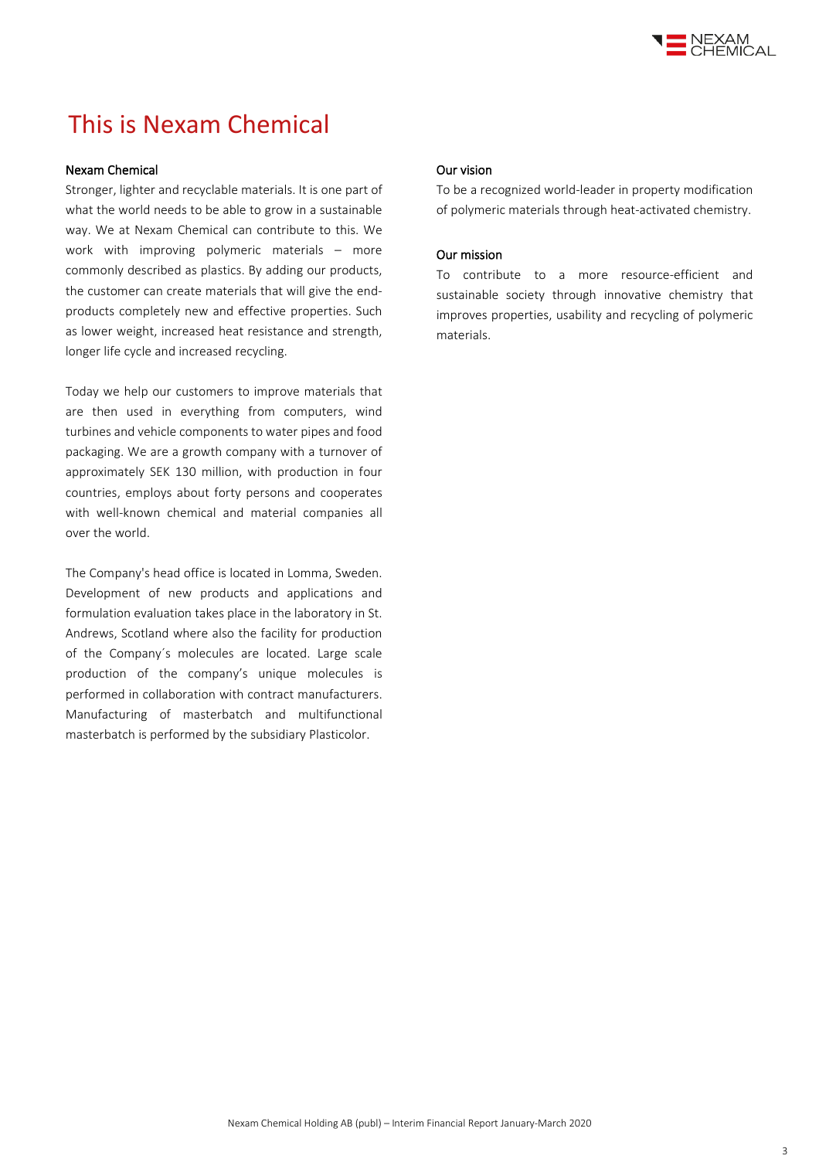

# This is Nexam Chemical

### Nexam Chemical

Stronger, lighter and recyclable materials. It is one part of what the world needs to be able to grow in a sustainable way. We at Nexam Chemical can contribute to this. We work with improving polymeric materials – more commonly described as plastics. By adding our products, the customer can create materials that will give the endproducts completely new and effective properties. Such as lower weight, increased heat resistance and strength, longer life cycle and increased recycling.

Today we help our customers to improve materials that are then used in everything from computers, wind turbines and vehicle components to water pipes and food packaging. We are a growth company with a turnover of approximately SEK 130 million, with production in four countries, employs about forty persons and cooperates with well-known chemical and material companies all over the world.

The Company's head office is located in Lomma, Sweden. Development of new products and applications and formulation evaluation takes place in the laboratory in St. Andrews, Scotland where also the facility for production of the Company´s molecules are located. Large scale production of the company's unique molecules is performed in collaboration with contract manufacturers. Manufacturing of masterbatch and multifunctional masterbatch is performed by the subsidiary Plasticolor.

### Our vision

To be a recognized world-leader in property modification of polymeric materials through heat-activated chemistry.

### Our mission

To contribute to a more resource-efficient and sustainable society through innovative chemistry that improves properties, usability and recycling of polymeric materials.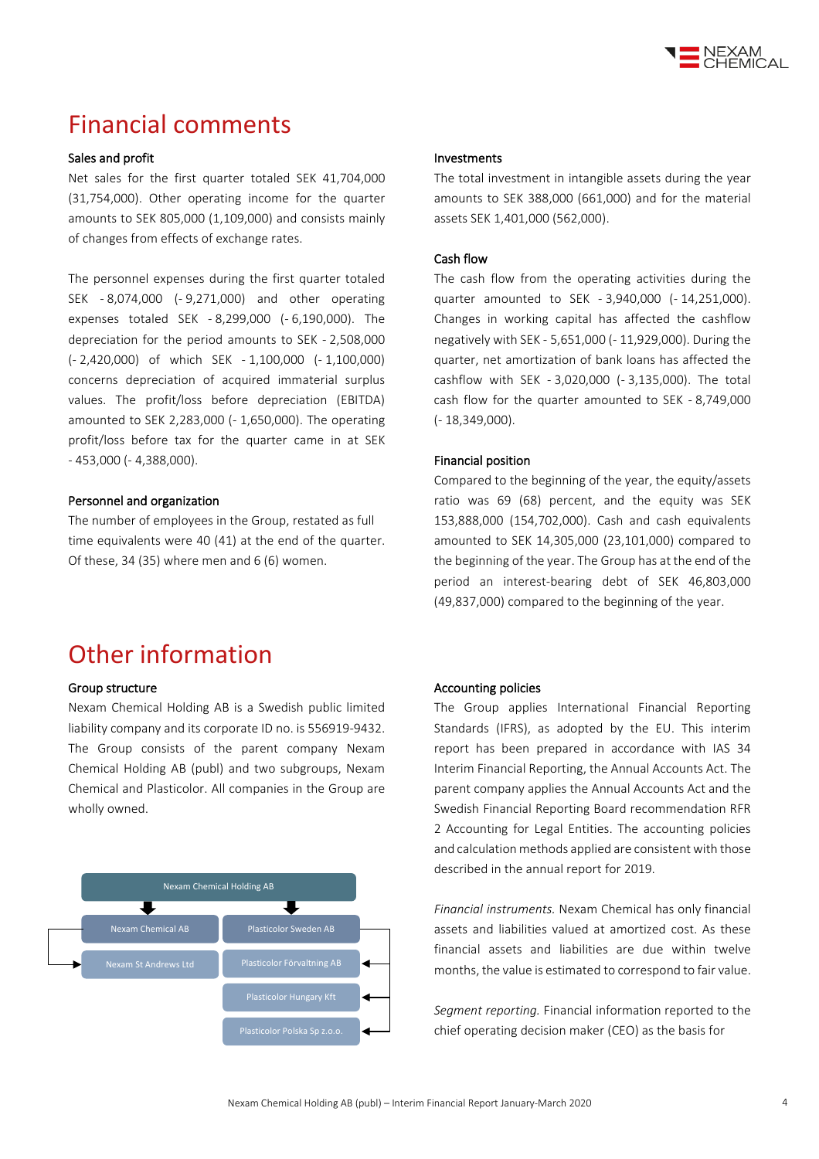

## Financial comments

### Sales and profit

Net sales for the first quarter totaled SEK 41,704,000 (31,754,000). Other operating income for the quarter amounts to SEK 805,000 (1,109,000) and consists mainly of changes from effects of exchange rates.

The personnel expenses during the first quarter totaled SEK - 8,074,000 (- 9,271,000) and other operating expenses totaled SEK - 8,299,000 (- 6,190,000). The depreciation for the period amounts to SEK - 2,508,000 (- 2,420,000) of which SEK - 1,100,000 (- 1,100,000) concerns depreciation of acquired immaterial surplus values. The profit/loss before depreciation (EBITDA) amounted to SEK 2,283,000 (- 1,650,000). The operating profit/loss before tax for the quarter came in at SEK - 453,000 (- 4,388,000).

#### Personnel and organization

The number of employees in the Group, restated as full time equivalents were 40 (41) at the end of the quarter. Of these, 34 (35) where men and 6 (6) women.

### Investments

The total investment in intangible assets during the year amounts to SEK 388,000 (661,000) and for the material assets SEK 1,401,000 (562,000).

#### Cash flow

The cash flow from the operating activities during the quarter amounted to SEK - 3,940,000 (- 14,251,000). Changes in working capital has affected the cashflow negatively with SEK - 5,651,000 (- 11,929,000). During the quarter, net amortization of bank loans has affected the cashflow with SEK - 3,020,000 (- 3,135,000). The total cash flow for the quarter amounted to SEK - 8,749,000 (- 18,349,000).

### Financial position

Compared to the beginning of the year, the equity/assets ratio was 69 (68) percent, and the equity was SEK 153,888,000 (154,702,000). Cash and cash equivalents amounted to SEK 14,305,000 (23,101,000) compared to the beginning of the year. The Group has at the end of the period an interest-bearing debt of SEK 46,803,000 (49,837,000) compared to the beginning of the year.

## Other information

#### Group structure

Nexam Chemical Holding AB is a Swedish public limited liability company and its corporate ID no. is 556919-9432. The Group consists of the parent company Nexam Chemical Holding AB (publ) and two subgroups, Nexam Chemical and Plasticolor. All companies in the Group are wholly owned.



### Accounting policies

The Group applies International Financial Reporting Standards (IFRS), as adopted by the EU. This interim report has been prepared in accordance with IAS 34 Interim Financial Reporting, the Annual Accounts Act. The parent company applies the Annual Accounts Act and the Swedish Financial Reporting Board recommendation RFR 2 Accounting for Legal Entities. The accounting policies and calculation methods applied are consistent with those described in the annual report for 2019.

*Financial instruments.* Nexam Chemical has only financial assets and liabilities valued at amortized cost. As these financial assets and liabilities are due within twelve months, the value is estimated to correspond to fair value.

*Segment reporting.* Financial information reported to the chief operating decision maker (CEO) as the basis for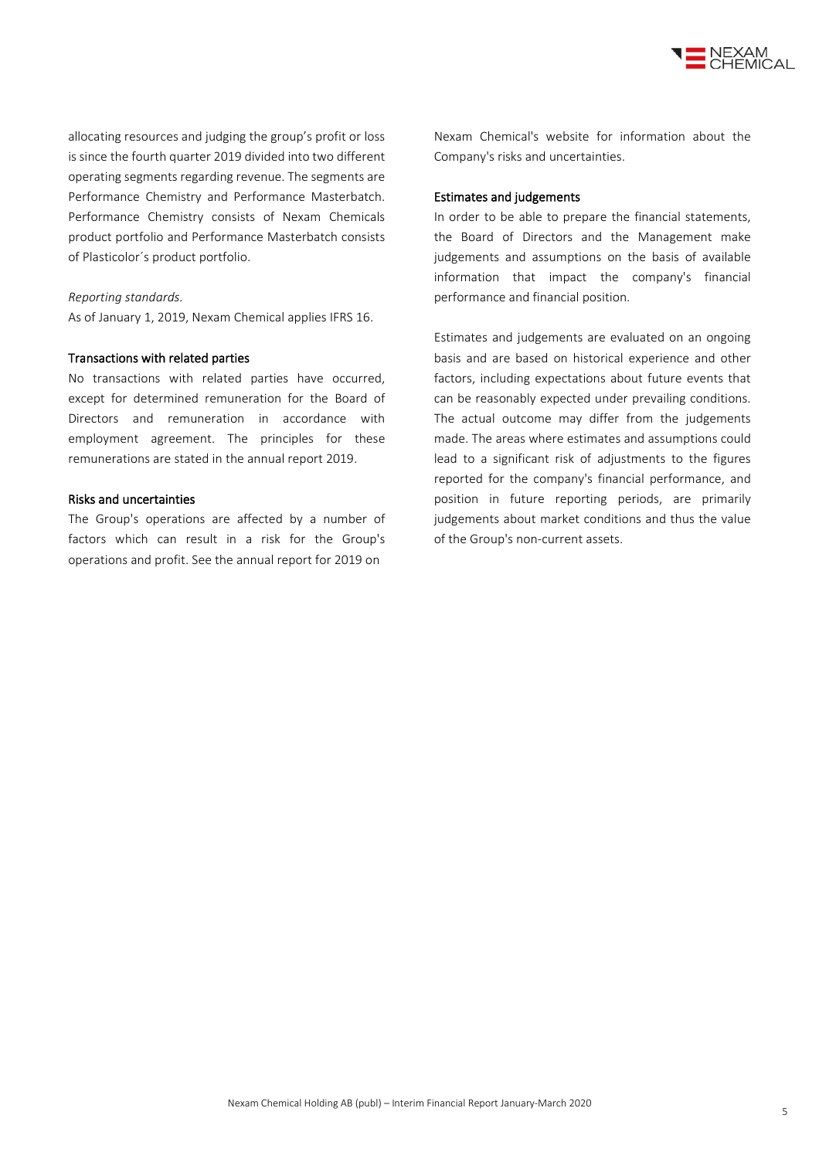

allocating resources and judging the group's profit or loss is since the fourth quarter 2019 divided into two different operating segments regarding revenue. The segments are Performance Chemistry and Performance Masterbatch. Performance Chemistry consists of Nexam Chemicals product portfolio and Performance Masterbatch consists of Plasticolor´s product portfolio.

### *Reporting standards.*

As of January 1, 2019, Nexam Chemical applies IFRS 16.

#### Transactions with related parties

No transactions with related parties have occurred, except for determined remuneration for the Board of Directors and remuneration in accordance with employment agreement. The principles for these remunerations are stated in the annual report 2019.

### Risks and uncertainties

The Group's operations are affected by a number of factors which can result in a risk for the Group's operations and profit. See the annual report for 2019 on

Nexam Chemical's website for information about the Company's risks and uncertainties.

#### Estimates and judgements

In order to be able to prepare the financial statements, the Board of Directors and the Management make judgements and assumptions on the basis of available information that impact the company's financial performance and financial position.

Estimates and judgements are evaluated on an ongoing basis and are based on historical experience and other factors, including expectations about future events that can be reasonably expected under prevailing conditions. The actual outcome may differ from the judgements made. The areas where estimates and assumptions could lead to a significant risk of adjustments to the figures reported for the company's financial performance, and position in future reporting periods, are primarily judgements about market conditions and thus the value of the Group's non-current assets.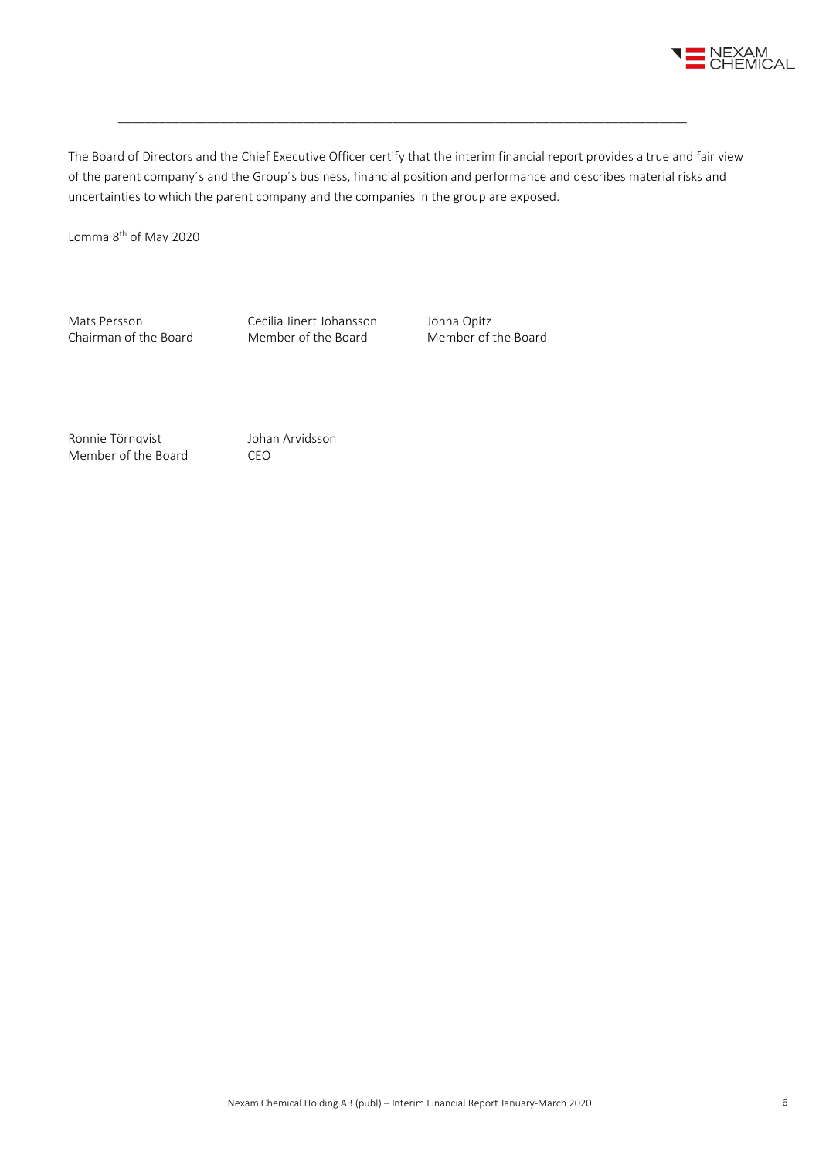

The Board of Directors and the Chief Executive Officer certify that the interim financial report provides a true and fair view of the parent company´s and the Group´s business, financial position and performance and describes material risks and uncertainties to which the parent company and the companies in the group are exposed.

\_\_\_\_\_\_\_\_\_\_\_\_\_\_\_\_\_\_\_\_\_\_\_\_\_\_\_\_\_\_\_\_\_\_\_\_\_\_\_\_\_\_\_\_\_\_\_\_\_\_\_\_\_\_\_\_\_\_\_\_\_\_\_\_\_\_\_\_\_\_\_\_\_\_\_\_\_\_\_\_\_\_\_

Lomma 8<sup>th</sup> of May 2020

Mats Persson Cecilia Jinert Johansson Jonna Opitz<br>
Chairman of the Board Member of the Board Member of the Board Chairman of the Board

Ronnie Törnqvist Johan Arvidsson Member of the Board CEO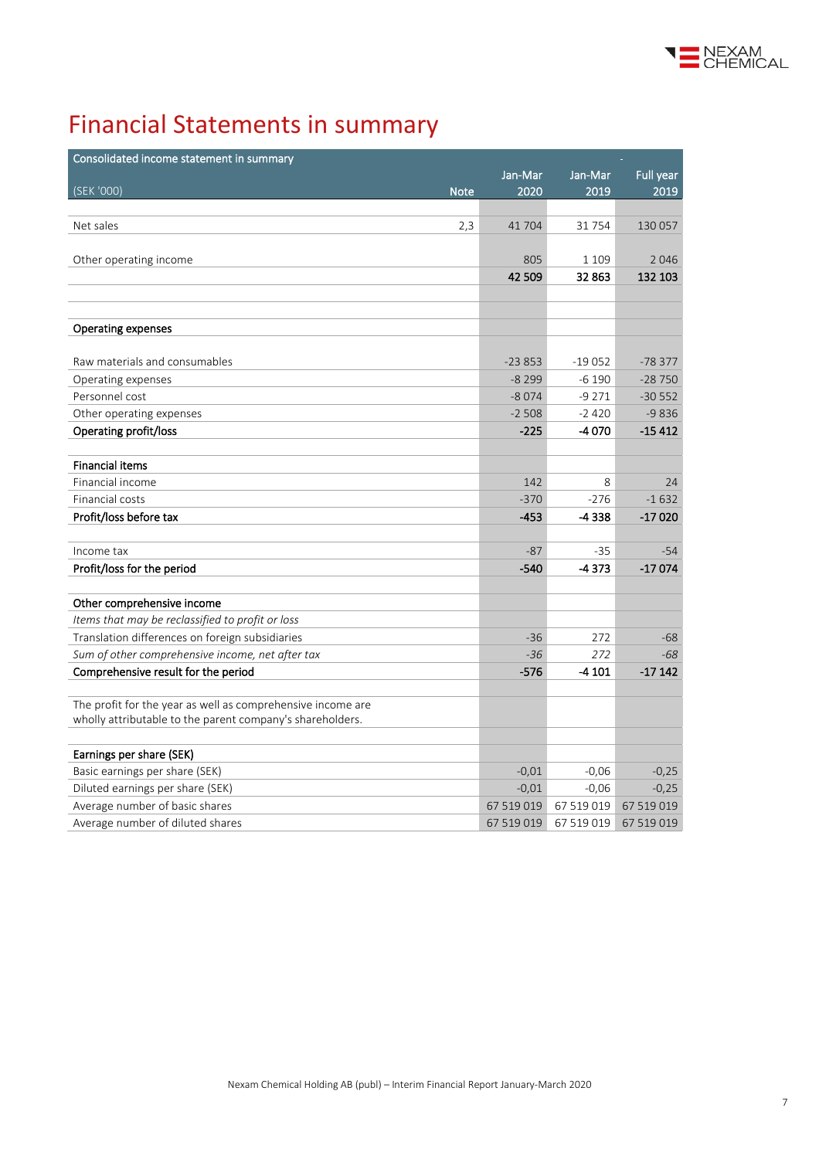

# Financial Statements in summary

| Consolidated income statement in summary                    |            |            |            |
|-------------------------------------------------------------|------------|------------|------------|
|                                                             | Jan-Mar    | Jan-Mar    | Full year  |
| (SEK '000)<br><b>Note</b>                                   | 2020       | 2019       | 2019       |
|                                                             |            |            |            |
| Net sales<br>2,3                                            | 41704      | 31754      | 130 057    |
|                                                             |            |            |            |
| Other operating income                                      | 805        | 1 1 0 9    | 2046       |
|                                                             | 42 509     | 32863      | 132 103    |
|                                                             |            |            |            |
|                                                             |            |            |            |
| <b>Operating expenses</b>                                   |            |            |            |
|                                                             |            |            |            |
| Raw materials and consumables                               | $-23853$   | $-19052$   | $-78377$   |
| Operating expenses                                          | $-8299$    | $-6190$    | $-28750$   |
| Personnel cost                                              | $-8074$    | $-9271$    | $-30552$   |
| Other operating expenses                                    | $-2508$    | $-2420$    | $-9836$    |
| Operating profit/loss                                       | $-225$     | -4070      | $-15412$   |
|                                                             |            |            |            |
| <b>Financial items</b>                                      |            |            |            |
| Financial income                                            | 142        | 8          | 24         |
| Financial costs                                             | $-370$     | $-276$     | $-1632$    |
| Profit/loss before tax                                      | $-453$     | -4338      | $-17020$   |
|                                                             |            |            |            |
| Income tax                                                  | $-87$      | -35        | $-54$      |
| Profit/loss for the period                                  | -540       | $-4373$    | $-17074$   |
|                                                             |            |            |            |
| Other comprehensive income                                  |            |            |            |
| Items that may be reclassified to profit or loss            |            |            |            |
| Translation differences on foreign subsidiaries             | $-36$      | 272        | $-68$      |
| Sum of other comprehensive income, net after tax            | $-36$      | 272        | $-68$      |
| Comprehensive result for the period                         | $-576$     | $-4101$    | $-17142$   |
|                                                             |            |            |            |
| The profit for the year as well as comprehensive income are |            |            |            |
| wholly attributable to the parent company's shareholders.   |            |            |            |
|                                                             |            |            |            |
| Earnings per share (SEK)                                    |            |            |            |
| Basic earnings per share (SEK)                              | $-0,01$    | $-0,06$    | $-0,25$    |
| Diluted earnings per share (SEK)                            | $-0,01$    | $-0,06$    | $-0,25$    |
| Average number of basic shares                              | 67 519 019 | 67 519 019 | 67 519 019 |
| Average number of diluted shares                            | 67 519 019 | 67 519 019 | 67 519 019 |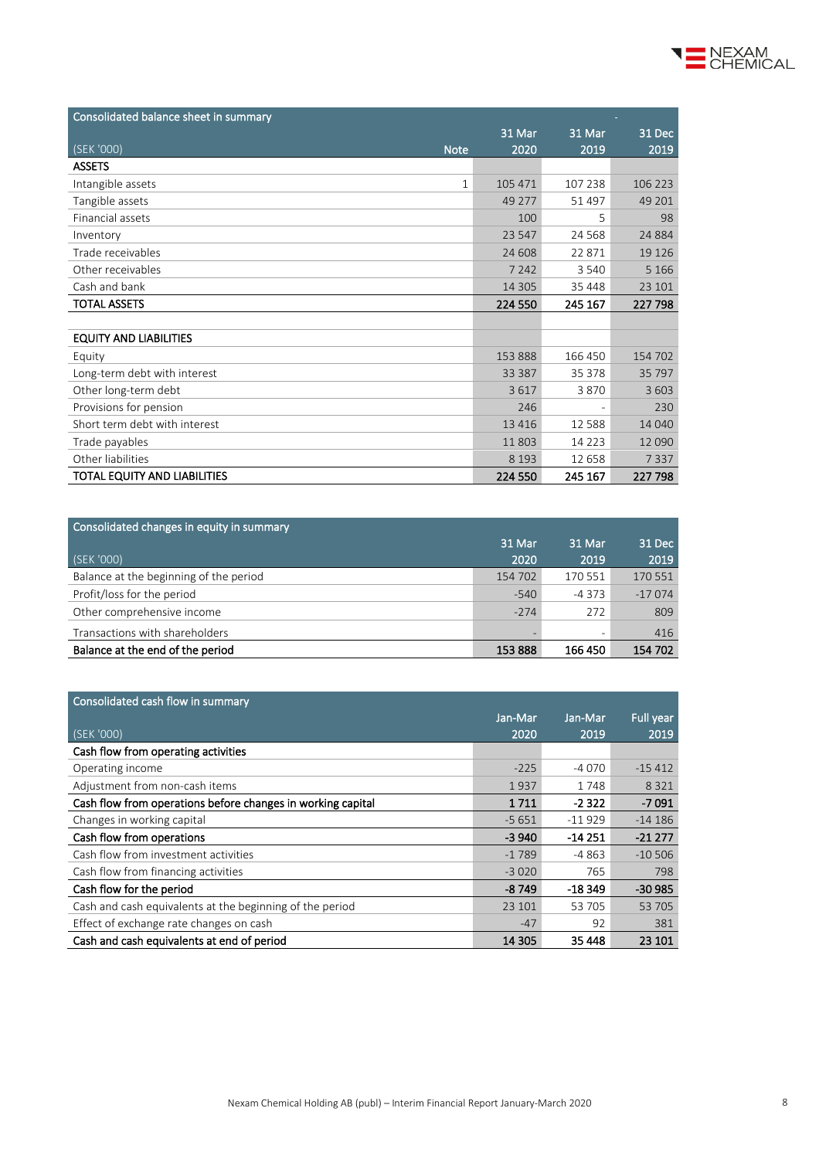| Consolidated balance sheet in summary |         |                          |         |
|---------------------------------------|---------|--------------------------|---------|
|                                       | 31 Mar  | 31 Mar                   | 31 Dec  |
| (SEK '000)<br><b>Note</b>             | 2020    | 2019                     | 2019    |
| <b>ASSETS</b>                         |         |                          |         |
| Intangible assets<br>1                | 105 471 | 107 238                  | 106 223 |
| Tangible assets                       | 49 277  | 51497                    | 49 201  |
| Financial assets                      | 100     | 5                        | 98      |
| Inventory                             | 23 547  | 24 5 68                  | 24 8 84 |
| Trade receivables                     | 24 608  | 22871                    | 19 1 26 |
| Other receivables                     | 7 2 4 2 | 3 5 4 0                  | 5 1 6 6 |
| Cash and bank                         | 14 3 05 | 35 4 48                  | 23 101  |
| <b>TOTAL ASSETS</b>                   | 224 550 | 245 167                  | 227 798 |
|                                       |         |                          |         |
| <b>EQUITY AND LIABILITIES</b>         |         |                          |         |
| Equity                                | 153888  | 166 450                  | 154 702 |
| Long-term debt with interest          | 33 387  | 35 378                   | 35 797  |
| Other long-term debt                  | 3617    | 3870                     | 3 6 0 3 |
| Provisions for pension                | 246     | $\overline{\phantom{a}}$ | 230     |
| Short term debt with interest         | 13 4 16 | 12588                    | 14 040  |
| Trade payables                        | 11 803  | 14 2 2 3                 | 12 090  |
| Other liabilities                     | 8 1 9 3 | 12658                    | 7337    |
| TOTAL EQUITY AND LIABILITIES          | 224 550 | 245 167                  | 227 798 |

| Consolidated changes in equity in summary |         |         |          |
|-------------------------------------------|---------|---------|----------|
|                                           | 31 Mar  | 31 Mar  | 31 Dec   |
| (SEK '000)                                | 2020    | 2019    | 2019     |
| Balance at the beginning of the period    | 154 702 | 170 551 | 170 551  |
| Profit/loss for the period                | $-540$  | $-4373$ | $-17074$ |
| Other comprehensive income                | $-274$  | 272     | 809      |
| Transactions with shareholders            |         |         | 416      |
| Balance at the end of the period          | 153888  | 166 450 | 154 702  |

| Consolidated cash flow in summary                           |         |          |           |
|-------------------------------------------------------------|---------|----------|-----------|
|                                                             | Jan-Mar | Jan-Mar  | Full year |
| (SEK '000)                                                  | 2020    | 2019     | 2019      |
| Cash flow from operating activities                         |         |          |           |
| Operating income                                            | $-225$  | $-4070$  | $-15412$  |
| Adjustment from non-cash items                              | 1937    | 1748     | 8 3 2 1   |
| Cash flow from operations before changes in working capital | 1711    | $-2322$  | $-7091$   |
| Changes in working capital                                  | $-5651$ | $-11929$ | $-14186$  |
| Cash flow from operations                                   | $-3940$ | $-14251$ | $-21277$  |
| Cash flow from investment activities                        | $-1789$ | $-4863$  | $-10,506$ |
| Cash flow from financing activities                         | $-3020$ | 765      | 798       |
| Cash flow for the period                                    | -8 749  | $-18349$ | $-30985$  |
| Cash and cash equivalents at the beginning of the period    | 23 101  | 53 705   | 53 705    |
| Effect of exchange rate changes on cash                     | $-47$   | 92       | 381       |
| Cash and cash equivalents at end of period                  | 14 305  | 35 448   | 23 101    |

NEXAM<br>CHEMICAL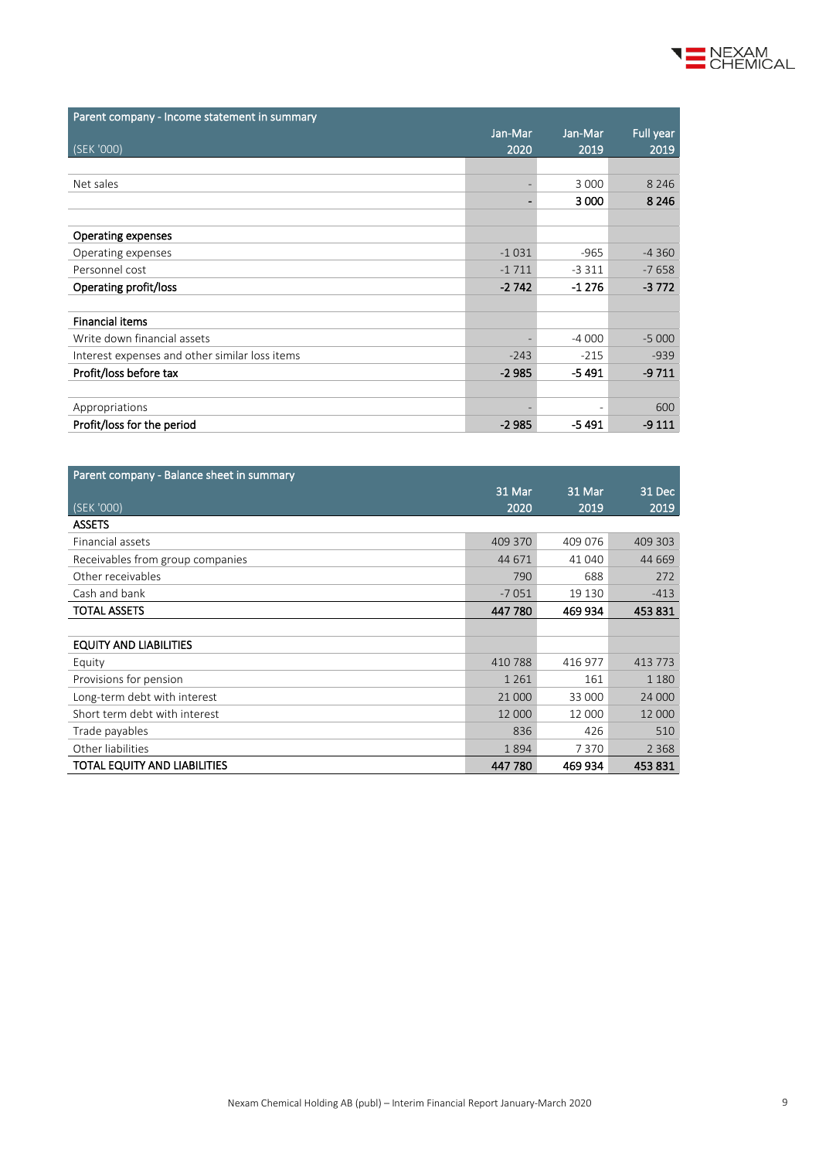

| Parent company - Balance sheet in summary |         |         |         |
|-------------------------------------------|---------|---------|---------|
|                                           | 31 Mar  | 31 Mar  | 31 Dec  |
| (SEK'000)                                 | 2020    | 2019    | 2019    |
| <b>ASSETS</b>                             |         |         |         |
| Financial assets                          | 409 370 | 409 076 | 409 303 |
| Receivables from group companies          | 44 671  | 41 040  | 44 669  |
| Other receivables                         | 790     | 688     | 272     |
| Cash and bank                             | $-7051$ | 19 130  | $-413$  |
| <b>TOTAL ASSETS</b>                       | 447 780 | 469 934 | 453831  |
|                                           |         |         |         |
| <b>EQUITY AND LIABILITIES</b>             |         |         |         |
| Equity                                    | 410 788 | 416 977 | 413 773 |
| Provisions for pension                    | 1 2 6 1 | 161     | 1 1 8 0 |
| Long-term debt with interest              | 21 000  | 33 000  | 24 000  |
| Short term debt with interest             | 12 000  | 12 000  | 12 000  |
| Trade payables                            | 836     | 426     | 510     |
| Other liabilities                         | 1894    | 7370    | 2 3 6 8 |
| TOTAL EQUITY AND LIABILITIES              | 447 780 | 469 934 | 453 831 |

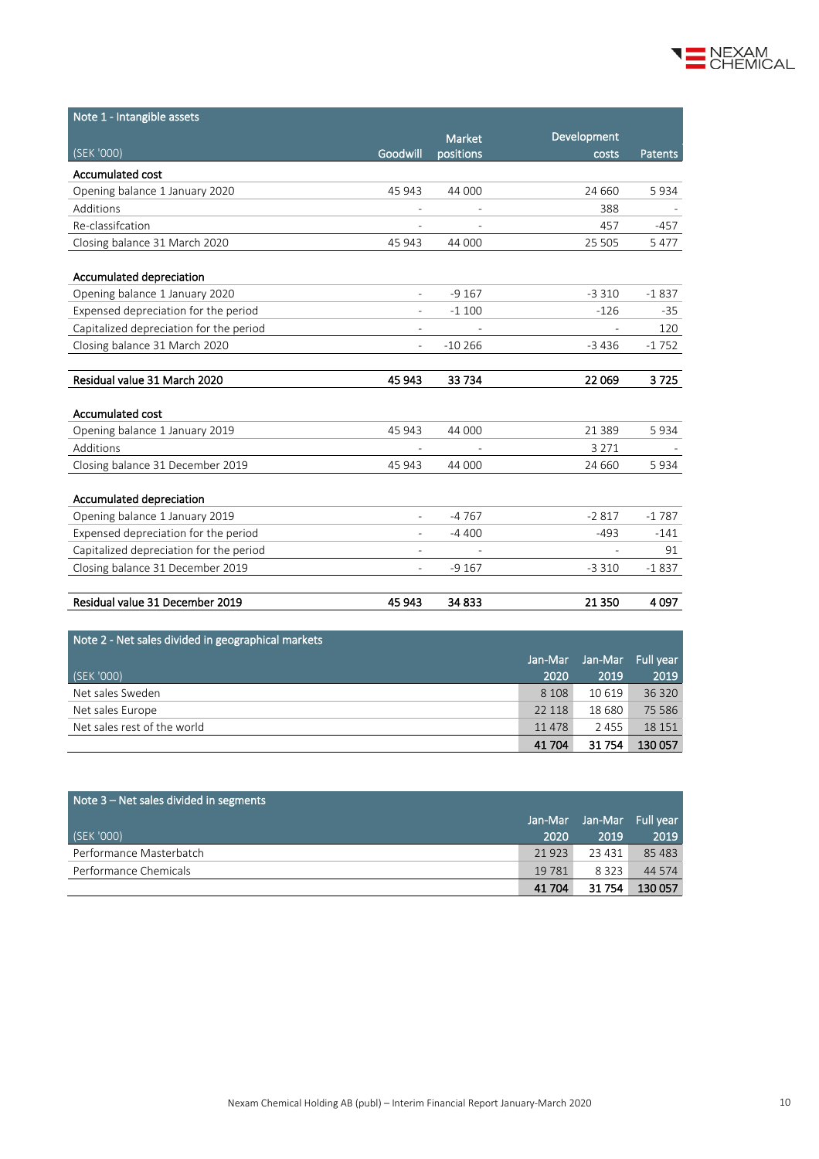

| Note 1 - Intangible assets              |                          |           |                          |                |
|-----------------------------------------|--------------------------|-----------|--------------------------|----------------|
|                                         |                          | Market    | Development              |                |
| (SEK '000)                              | Goodwill                 | positions | costs                    | <b>Patents</b> |
| <b>Accumulated cost</b>                 |                          |           |                          |                |
| Opening balance 1 January 2020          | 45 943                   | 44 000    | 24 660                   | 5934           |
| Additions                               |                          |           | 388                      |                |
| Re-classification                       |                          |           | 457                      | -457           |
| Closing balance 31 March 2020           | 45 943                   | 44 000    | 25 5 05                  | 5 4 7 7        |
| Accumulated depreciation                |                          |           |                          |                |
| Opening balance 1 January 2020          | $\overline{a}$           | $-9167$   | $-3310$                  | $-1837$        |
| Expensed depreciation for the period    |                          | $-1100$   | $-126$                   | $-35$          |
| Capitalized depreciation for the period | $\overline{\phantom{0}}$ |           |                          | 120            |
| Closing balance 31 March 2020           | $\overline{a}$           | $-10266$  | $-3436$                  | $-1752$        |
|                                         |                          |           |                          |                |
| Residual value 31 March 2020            | 45 943                   | 33 734    | 22 069                   | 3725           |
| Accumulated cost                        |                          |           |                          |                |
| Opening balance 1 January 2019          | 45 943                   | 44 000    | 21 3 8 9                 | 5934           |
| Additions                               |                          |           | 3 2 7 1                  |                |
| Closing balance 31 December 2019        | 45 943                   | 44 000    | 24 660                   | 5934           |
|                                         |                          |           |                          |                |
| Accumulated depreciation                |                          |           |                          |                |
| Opening balance 1 January 2019          | $\overline{\phantom{0}}$ | $-4767$   | $-2817$                  | $-1787$        |
| Expensed depreciation for the period    | $\overline{a}$           | $-4400$   | $-493$                   | $-141$         |
| Capitalized depreciation for the period | $\overline{\phantom{0}}$ |           | $\overline{\phantom{a}}$ | 91             |
| Closing balance 31 December 2019        |                          | $-9167$   | $-3310$                  | $-1837$        |
|                                         |                          |           |                          |                |
| Residual value 31 December 2019         | 45 943                   | 34 833    | 21 350                   | 4097           |

| Note 2 - Net sales divided in geographical markets |         |                   |         |
|----------------------------------------------------|---------|-------------------|---------|
|                                                    | Jan-Mar | Jan-Mar Full year |         |
| (SEK '000)                                         | 2020    | 2019              | 2019    |
| Net sales Sweden                                   | 8 1 0 8 | 10 6 19           | 36 320  |
| Net sales Europe                                   | 22 118  | 18 680            | 75 5 86 |
| Net sales rest of the world                        | 11478   | 2 4 5 5           | 18 15 1 |
|                                                    | 41 704  | 31 754            | 130 057 |

| Note 3 – Net sales divided in segments |         |                   |         |
|----------------------------------------|---------|-------------------|---------|
|                                        | Jan-Mar | Jan-Mar Full year |         |
| (SEK '000)                             | 2020    | 2019              | 2019    |
| Performance Masterbatch                | 21 9 23 | 23 431            | 85483   |
| Performance Chemicals                  | 19 7 81 | 8 3 2 3           | 44 5 74 |
|                                        | 41 704  | 31 754            | 130 057 |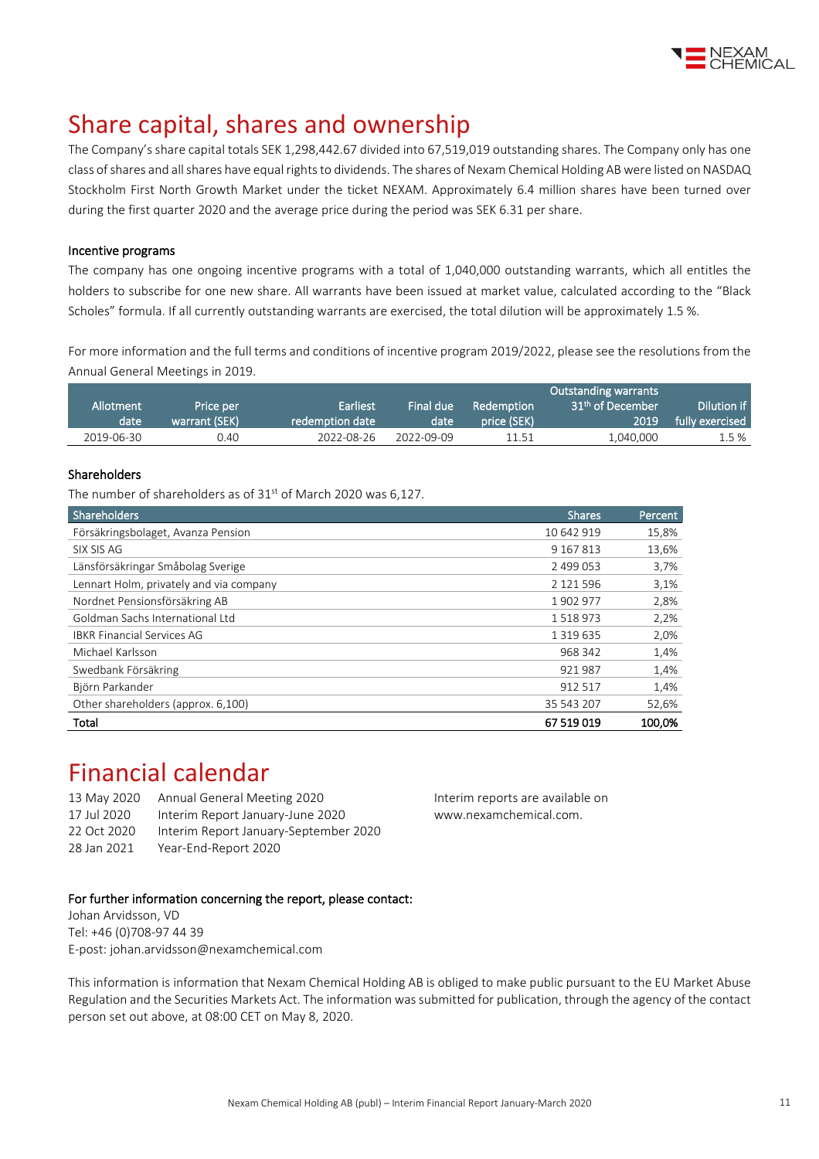

# Share capital, shares and ownership

The Company's share capital totals SEK 1,298,442.67 divided into 67,519,019 outstanding shares. The Company only has one class of shares and all shares have equal rights to dividends. The shares of Nexam Chemical Holding AB were listed on NASDAQ Stockholm First North Growth Market under the ticket NEXAM. Approximately 6.4 million shares have been turned over during the first quarter 2020 and the average price during the period was SEK 6.31 per share.

### Incentive programs

The company has one ongoing incentive programs with a total of 1,040,000 outstanding warrants, which all entitles the holders to subscribe for one new share. All warrants have been issued at market value, calculated according to the "Black Scholes" formula. If all currently outstanding warrants are exercised, the total dilution will be approximately 1.5 %.

For more information and the full terms and conditions of incentive program 2019/2022, please see the resolutions from the Annual General Meetings i[n 2019.](http://www.nexamchemical.com/secure/CMS/?language=en#context=epi.cms.contentdata:///245&viewsetting=active:///true)

|            |               |                 |            |                   | <b>Outstanding warrants</b>  |                 |
|------------|---------------|-----------------|------------|-------------------|------------------------------|-----------------|
| Allotment  | Price per     | <b>Earliest</b> | Final due  | <b>Redemption</b> | 31 <sup>th</sup> of December | Dilution if     |
| date       | warrant (SEK) | redemption date | date       | price (SEK)       | 2019.                        | fully exercised |
| 2019-06-30 | 0.40          | 2022-08-26      | 2022-09-09 | 11.51             | 1.040.000                    | 1.5%            |

### Shareholders

The number of shareholders as of 31<sup>st</sup> of March 2020 was 6,127.

| Shareholders                            | <b>Shares</b> | Percent |
|-----------------------------------------|---------------|---------|
| Försäkringsbolaget, Avanza Pension      | 10 642 919    | 15,8%   |
| SIX SIS AG                              | 9 167 813     | 13,6%   |
| Länsförsäkringar Småbolag Sverige       | 2 499 053     | 3,7%    |
| Lennart Holm, privately and via company | 2 121 596     | 3,1%    |
| Nordnet Pensionsförsäkring AB           | 1902977       | 2,8%    |
| Goldman Sachs International Ltd         | 1518973       | 2,2%    |
| <b>IBKR Financial Services AG</b>       | 1 3 1 9 6 3 5 | 2,0%    |
| Michael Karlsson                        | 968 342       | 1,4%    |
| Swedbank Försäkring                     | 921987        | 1,4%    |
| Björn Parkander                         | 912 517       | 1,4%    |
| Other shareholders (approx. 6,100)      | 35 543 207    | 52,6%   |
| Total                                   | 67 519 019    | 100.0%  |

## Financial calendar

| Annual General Meeting 2020           |
|---------------------------------------|
| Interim Report January-June 2020      |
| Interim Report January-September 2020 |
| Year-End-Report 2020                  |
|                                       |

Interim reports are available on www.nexamchemical.com.

### For further information concerning the report, please contact:

Johan Arvidsson, VD Tel: +46 (0)708-97 44 39 E-post: johan.arvidsson@nexamchemical.com

This information is information that Nexam Chemical Holding AB is obliged to make public pursuant to the EU Market Abuse Regulation and the Securities Markets Act. The information was submitted for publication, through the agency of the contact person set out above, at 08:00 CET on May 8, 2020.